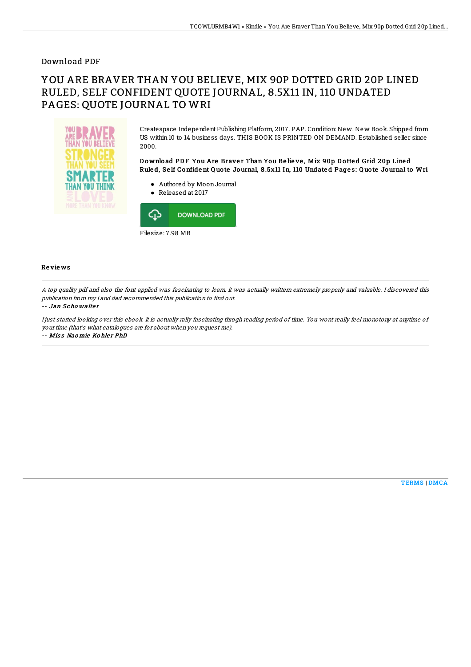## Download PDF

# YOU ARE BRAVER THAN YOU BELIEVE, MIX 90P DOTTED GRID 20P LINED RULED, SELF CONFIDENT QUOTE JOURNAL, 8.5X11 IN, 110 UNDATED PAGES: QUOTE JOURNAL TO WRI



Createspace Independent Publishing Platform, 2017. PAP. Condition: New. New Book. Shipped from US within 10 to 14 business days. THIS BOOK IS PRINTED ON DEMAND. Established seller since 2000.

Download PDF You Are Braver Than You Believe, Mix 90p Dotted Grid 20p Lined Rule d, Se lf Confide nt Q uo te Journal, 8 .5x11 In, 110 Undate d Page s: Q uo te Journal to Wri

- Authored by MoonJournal
- Released at 2017



### Re vie ws

A top quality pdf and also the font applied was fascinating to learn. it was actually writtern extremely properly and valuable. I discovered this publication from my i and dad recommended this publication to find out.

#### -- Jan Schowalter

I just started looking over this ebook. It is actually rally fascinating throgh reading period of time. You wont really feel monotony at anytime of your time (that's what catalogues are for about when you request me). -- Miss Naomie Kohler PhD